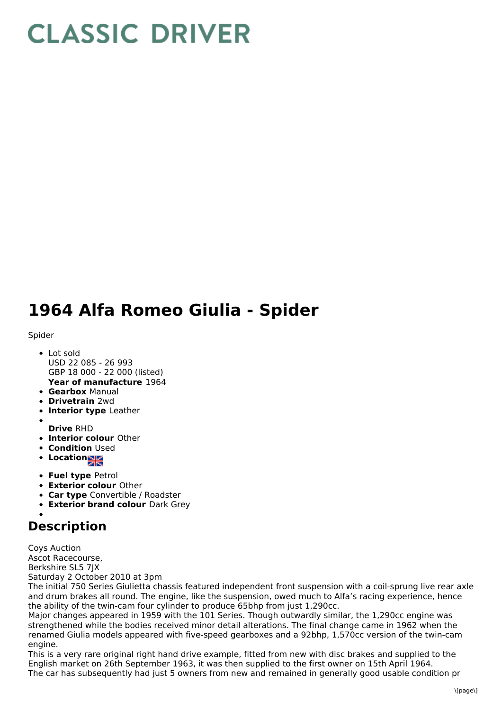## **CLASSIC DRIVER**

## **1964 Alfa Romeo Giulia - Spider**

## Spider

- **Year of manufacture** 1964 • Lot sold USD 22 085 - 26 993 GBP 18 000 - 22 000 (listed)
- **Gearbox** Manual
- **Drivetrain** 2wd
- **Interior type** Leather
- 
- **Drive** RHD
- **Interior colour** Other
- **Condition Used**
- **Locations**
- **Fuel type** Petrol
- **Exterior colour** Other
- **Car type** Convertible / Roadster
- **Exterior brand colour** Dark Grey

## **Description**

Coys Auction Ascot Racecourse, Berkshire SL5 7JX Saturday 2 October 2010 at 3pm

The initial 750 Series Giulietta chassis featured independent front suspension with a coil-sprung live rear axle and drum brakes all round. The engine, like the suspension, owed much to Alfa's racing experience, hence the ability of the twin-cam four cylinder to produce 65bhp from just 1,290cc.

Major changes appeared in 1959 with the 101 Series. Though outwardly similar, the 1,290cc engine was strengthened while the bodies received minor detail alterations. The final change came in 1962 when the renamed Giulia models appeared with five-speed gearboxes and a 92bhp, 1,570cc version of the twin-cam engine.

This is a very rare original right hand drive example, fitted from new with disc brakes and supplied to the English market on 26th September 1963, it was then supplied to the first owner on 15th April 1964. The car has subsequently had just 5 owners from new and remained in generally good usable condition pr